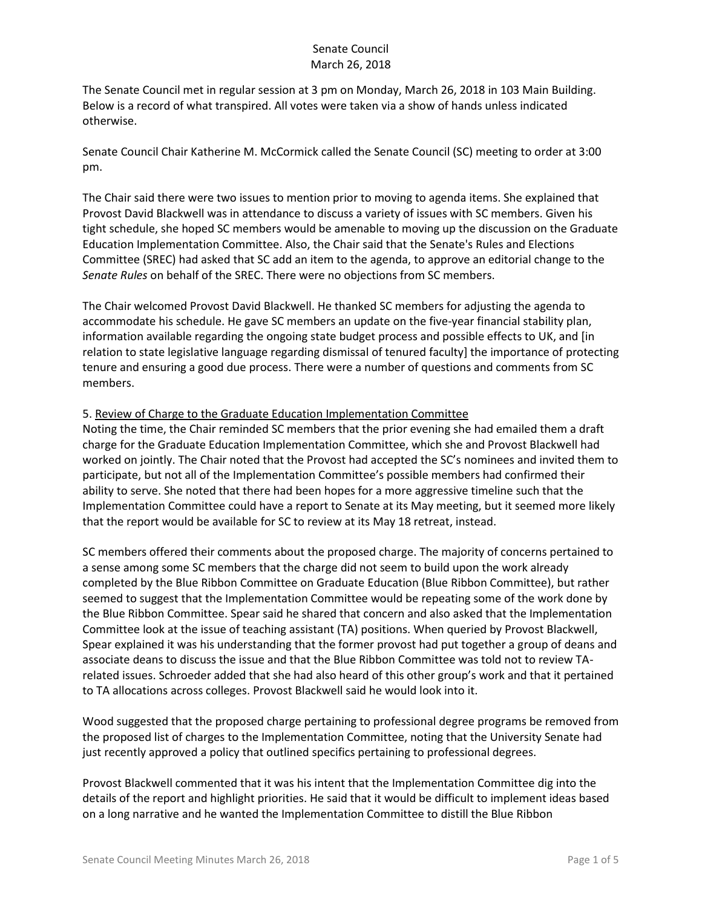The Senate Council met in regular session at 3 pm on Monday, March 26, 2018 in 103 Main Building. Below is a record of what transpired. All votes were taken via a show of hands unless indicated otherwise.

Senate Council Chair Katherine M. McCormick called the Senate Council (SC) meeting to order at 3:00 pm.

The Chair said there were two issues to mention prior to moving to agenda items. She explained that Provost David Blackwell was in attendance to discuss a variety of issues with SC members. Given his tight schedule, she hoped SC members would be amenable to moving up the discussion on the Graduate Education Implementation Committee. Also, the Chair said that the Senate's Rules and Elections Committee (SREC) had asked that SC add an item to the agenda, to approve an editorial change to the *Senate Rules* on behalf of the SREC. There were no objections from SC members.

The Chair welcomed Provost David Blackwell. He thanked SC members for adjusting the agenda to accommodate his schedule. He gave SC members an update on the five-year financial stability plan, information available regarding the ongoing state budget process and possible effects to UK, and [in relation to state legislative language regarding dismissal of tenured faculty] the importance of protecting tenure and ensuring a good due process. There were a number of questions and comments from SC members.

#### 5. Review of Charge to the Graduate Education Implementation Committee

Noting the time, the Chair reminded SC members that the prior evening she had emailed them a draft charge for the Graduate Education Implementation Committee, which she and Provost Blackwell had worked on jointly. The Chair noted that the Provost had accepted the SC's nominees and invited them to participate, but not all of the Implementation Committee's possible members had confirmed their ability to serve. She noted that there had been hopes for a more aggressive timeline such that the Implementation Committee could have a report to Senate at its May meeting, but it seemed more likely that the report would be available for SC to review at its May 18 retreat, instead.

SC members offered their comments about the proposed charge. The majority of concerns pertained to a sense among some SC members that the charge did not seem to build upon the work already completed by the Blue Ribbon Committee on Graduate Education (Blue Ribbon Committee), but rather seemed to suggest that the Implementation Committee would be repeating some of the work done by the Blue Ribbon Committee. Spear said he shared that concern and also asked that the Implementation Committee look at the issue of teaching assistant (TA) positions. When queried by Provost Blackwell, Spear explained it was his understanding that the former provost had put together a group of deans and associate deans to discuss the issue and that the Blue Ribbon Committee was told not to review TArelated issues. Schroeder added that she had also heard of this other group's work and that it pertained to TA allocations across colleges. Provost Blackwell said he would look into it.

Wood suggested that the proposed charge pertaining to professional degree programs be removed from the proposed list of charges to the Implementation Committee, noting that the University Senate had just recently approved a policy that outlined specifics pertaining to professional degrees.

Provost Blackwell commented that it was his intent that the Implementation Committee dig into the details of the report and highlight priorities. He said that it would be difficult to implement ideas based on a long narrative and he wanted the Implementation Committee to distill the Blue Ribbon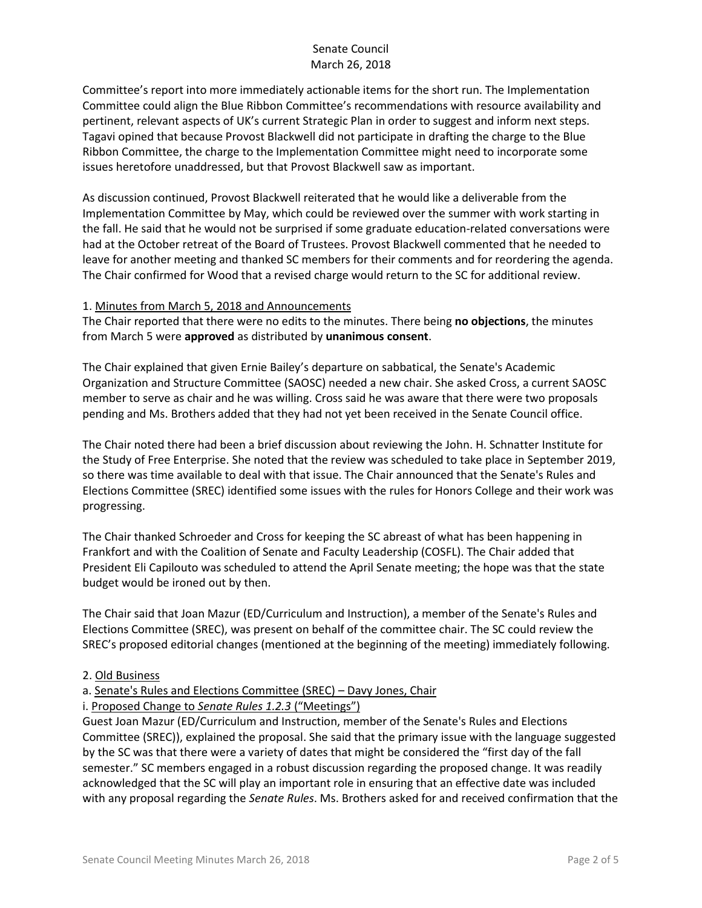Committee's report into more immediately actionable items for the short run. The Implementation Committee could align the Blue Ribbon Committee's recommendations with resource availability and pertinent, relevant aspects of UK's current Strategic Plan in order to suggest and inform next steps. Tagavi opined that because Provost Blackwell did not participate in drafting the charge to the Blue Ribbon Committee, the charge to the Implementation Committee might need to incorporate some issues heretofore unaddressed, but that Provost Blackwell saw as important.

As discussion continued, Provost Blackwell reiterated that he would like a deliverable from the Implementation Committee by May, which could be reviewed over the summer with work starting in the fall. He said that he would not be surprised if some graduate education-related conversations were had at the October retreat of the Board of Trustees. Provost Blackwell commented that he needed to leave for another meeting and thanked SC members for their comments and for reordering the agenda. The Chair confirmed for Wood that a revised charge would return to the SC for additional review.

#### 1. Minutes from March 5, 2018 and Announcements

The Chair reported that there were no edits to the minutes. There being **no objections**, the minutes from March 5 were **approved** as distributed by **unanimous consent**.

The Chair explained that given Ernie Bailey's departure on sabbatical, the Senate's Academic Organization and Structure Committee (SAOSC) needed a new chair. She asked Cross, a current SAOSC member to serve as chair and he was willing. Cross said he was aware that there were two proposals pending and Ms. Brothers added that they had not yet been received in the Senate Council office.

The Chair noted there had been a brief discussion about reviewing the John. H. Schnatter Institute for the Study of Free Enterprise. She noted that the review was scheduled to take place in September 2019, so there was time available to deal with that issue. The Chair announced that the Senate's Rules and Elections Committee (SREC) identified some issues with the rules for Honors College and their work was progressing.

The Chair thanked Schroeder and Cross for keeping the SC abreast of what has been happening in Frankfort and with the Coalition of Senate and Faculty Leadership (COSFL). The Chair added that President Eli Capilouto was scheduled to attend the April Senate meeting; the hope was that the state budget would be ironed out by then.

The Chair said that Joan Mazur (ED/Curriculum and Instruction), a member of the Senate's Rules and Elections Committee (SREC), was present on behalf of the committee chair. The SC could review the SREC's proposed editorial changes (mentioned at the beginning of the meeting) immediately following.

#### 2. Old Business

# a. Senate's Rules and Elections Committee (SREC) – Davy Jones, Chair

#### i. Proposed Change to *Senate Rules 1.2.3* ("Meetings")

Guest Joan Mazur (ED/Curriculum and Instruction, member of the Senate's Rules and Elections Committee (SREC)), explained the proposal. She said that the primary issue with the language suggested by the SC was that there were a variety of dates that might be considered the "first day of the fall semester." SC members engaged in a robust discussion regarding the proposed change. It was readily acknowledged that the SC will play an important role in ensuring that an effective date was included with any proposal regarding the *Senate Rules*. Ms. Brothers asked for and received confirmation that the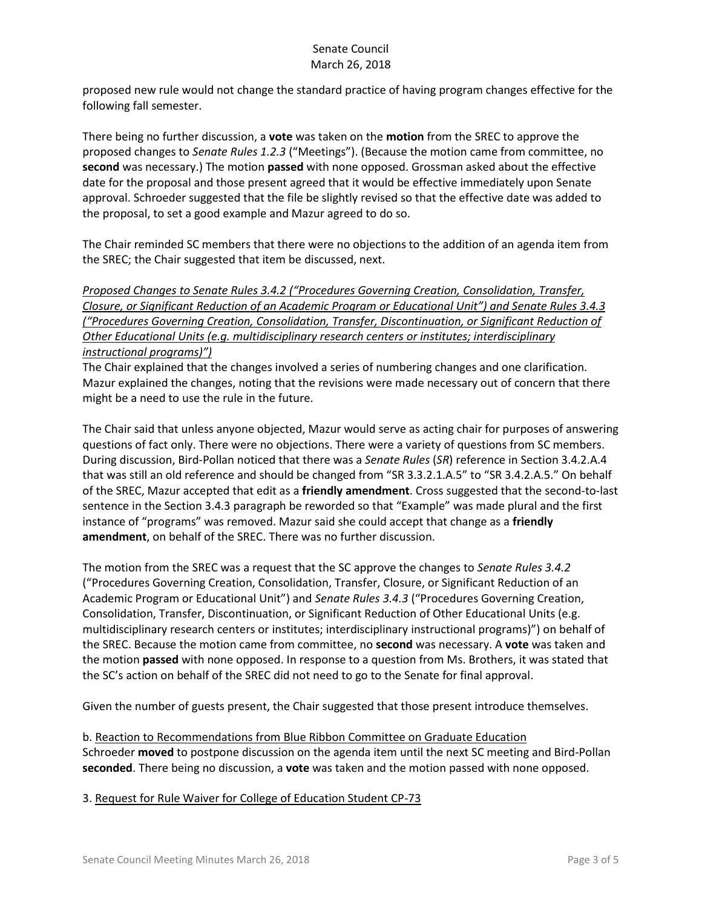proposed new rule would not change the standard practice of having program changes effective for the following fall semester.

There being no further discussion, a **vote** was taken on the **motion** from the SREC to approve the proposed changes to *Senate Rules 1.2.3* ("Meetings"). (Because the motion came from committee, no **second** was necessary.) The motion **passed** with none opposed. Grossman asked about the effective date for the proposal and those present agreed that it would be effective immediately upon Senate approval. Schroeder suggested that the file be slightly revised so that the effective date was added to the proposal, to set a good example and Mazur agreed to do so.

The Chair reminded SC members that there were no objections to the addition of an agenda item from the SREC; the Chair suggested that item be discussed, next.

*Proposed Changes to Senate Rules 3.4.2 ("Procedures Governing Creation, Consolidation, Transfer, Closure, or Significant Reduction of an Academic Program or Educational Unit") and Senate Rules 3.4.3 ("Procedures Governing Creation, Consolidation, Transfer, Discontinuation, or Significant Reduction of Other Educational Units (e.g. multidisciplinary research centers or institutes; interdisciplinary instructional programs)")*

The Chair explained that the changes involved a series of numbering changes and one clarification. Mazur explained the changes, noting that the revisions were made necessary out of concern that there might be a need to use the rule in the future.

The Chair said that unless anyone objected, Mazur would serve as acting chair for purposes of answering questions of fact only. There were no objections. There were a variety of questions from SC members. During discussion, Bird-Pollan noticed that there was a *Senate Rules* (*SR*) reference in Section 3.4.2.A.4 that was still an old reference and should be changed from "SR 3.3.2.1.A.5" to "SR 3.4.2.A.5." On behalf of the SREC, Mazur accepted that edit as a **friendly amendment**. Cross suggested that the second-to-last sentence in the Section 3.4.3 paragraph be reworded so that "Example" was made plural and the first instance of "programs" was removed. Mazur said she could accept that change as a **friendly amendment**, on behalf of the SREC. There was no further discussion.

The motion from the SREC was a request that the SC approve the changes to *Senate Rules 3.4.2* ("Procedures Governing Creation, Consolidation, Transfer, Closure, or Significant Reduction of an Academic Program or Educational Unit") and *Senate Rules 3.4.3* ("Procedures Governing Creation, Consolidation, Transfer, Discontinuation, or Significant Reduction of Other Educational Units (e.g. multidisciplinary research centers or institutes; interdisciplinary instructional programs)") on behalf of the SREC. Because the motion came from committee, no **second** was necessary. A **vote** was taken and the motion **passed** with none opposed. In response to a question from Ms. Brothers, it was stated that the SC's action on behalf of the SREC did not need to go to the Senate for final approval.

Given the number of guests present, the Chair suggested that those present introduce themselves.

b. Reaction to Recommendations from Blue Ribbon Committee on Graduate Education Schroeder **moved** to postpone discussion on the agenda item until the next SC meeting and Bird-Pollan **seconded**. There being no discussion, a **vote** was taken and the motion passed with none opposed.

3. Request for Rule Waiver for College of Education Student CP-73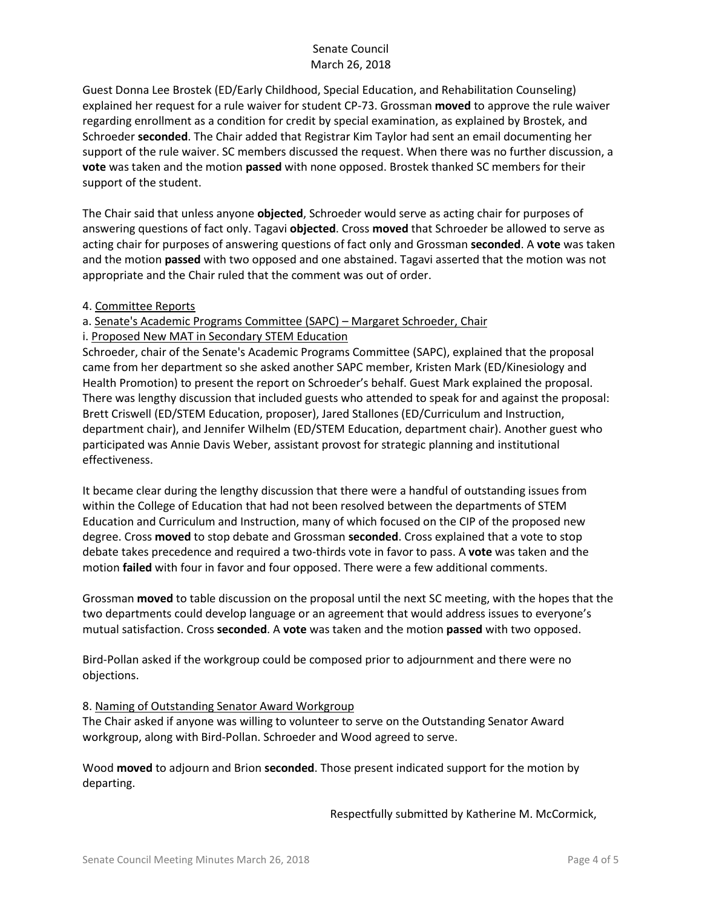Guest Donna Lee Brostek (ED/Early Childhood, Special Education, and Rehabilitation Counseling) explained her request for a rule waiver for student CP-73. Grossman **moved** to approve the rule waiver regarding enrollment as a condition for credit by special examination, as explained by Brostek, and Schroeder **seconded**. The Chair added that Registrar Kim Taylor had sent an email documenting her support of the rule waiver. SC members discussed the request. When there was no further discussion, a **vote** was taken and the motion **passed** with none opposed. Brostek thanked SC members for their support of the student.

The Chair said that unless anyone **objected**, Schroeder would serve as acting chair for purposes of answering questions of fact only. Tagavi **objected**. Cross **moved** that Schroeder be allowed to serve as acting chair for purposes of answering questions of fact only and Grossman **seconded**. A **vote** was taken and the motion **passed** with two opposed and one abstained. Tagavi asserted that the motion was not appropriate and the Chair ruled that the comment was out of order.

4. Committee Reports

a. Senate's Academic Programs Committee (SAPC) – Margaret Schroeder, Chair

#### i. Proposed New MAT in Secondary STEM Education

Schroeder, chair of the Senate's Academic Programs Committee (SAPC), explained that the proposal came from her department so she asked another SAPC member, Kristen Mark (ED/Kinesiology and Health Promotion) to present the report on Schroeder's behalf. Guest Mark explained the proposal. There was lengthy discussion that included guests who attended to speak for and against the proposal: Brett Criswell (ED/STEM Education, proposer), Jared Stallones (ED/Curriculum and Instruction, department chair), and Jennifer Wilhelm (ED/STEM Education, department chair). Another guest who participated was Annie Davis Weber, assistant provost for strategic planning and institutional effectiveness.

It became clear during the lengthy discussion that there were a handful of outstanding issues from within the College of Education that had not been resolved between the departments of STEM Education and Curriculum and Instruction, many of which focused on the CIP of the proposed new degree. Cross **moved** to stop debate and Grossman **seconded**. Cross explained that a vote to stop debate takes precedence and required a two-thirds vote in favor to pass. A **vote** was taken and the motion **failed** with four in favor and four opposed. There were a few additional comments.

Grossman **moved** to table discussion on the proposal until the next SC meeting, with the hopes that the two departments could develop language or an agreement that would address issues to everyone's mutual satisfaction. Cross **seconded**. A **vote** was taken and the motion **passed** with two opposed.

Bird-Pollan asked if the workgroup could be composed prior to adjournment and there were no objections.

#### 8. Naming of Outstanding Senator Award Workgroup

The Chair asked if anyone was willing to volunteer to serve on the Outstanding Senator Award workgroup, along with Bird-Pollan. Schroeder and Wood agreed to serve.

Wood **moved** to adjourn and Brion **seconded**. Those present indicated support for the motion by departing.

Respectfully submitted by Katherine M. McCormick,